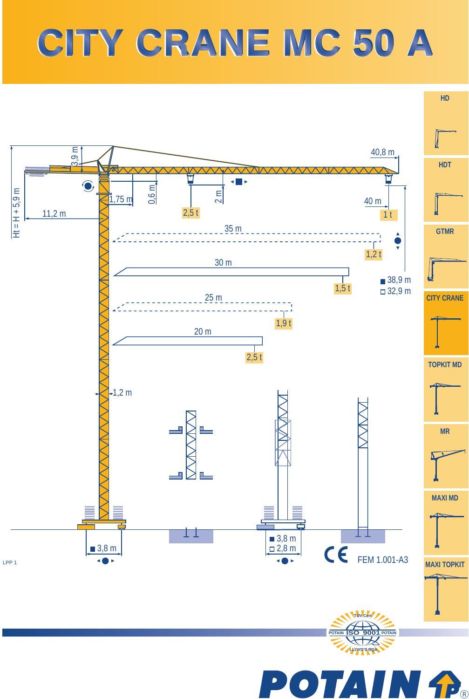## **CITY CRANE MC 50 A CITY CRANE MC 50 A**



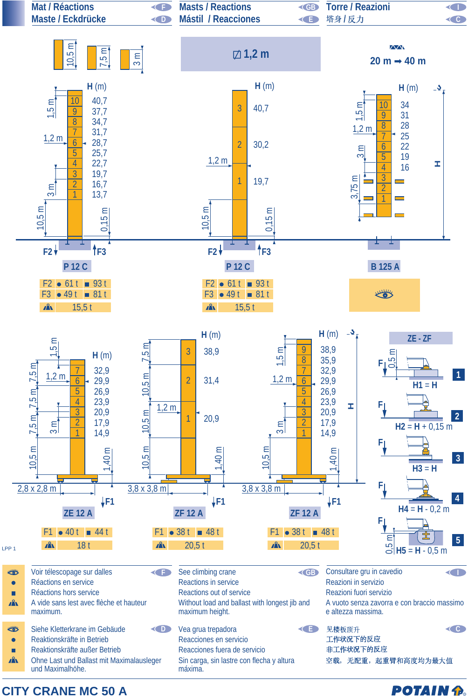

**CITY CRANE MC 50 A**

**POTAIN P.**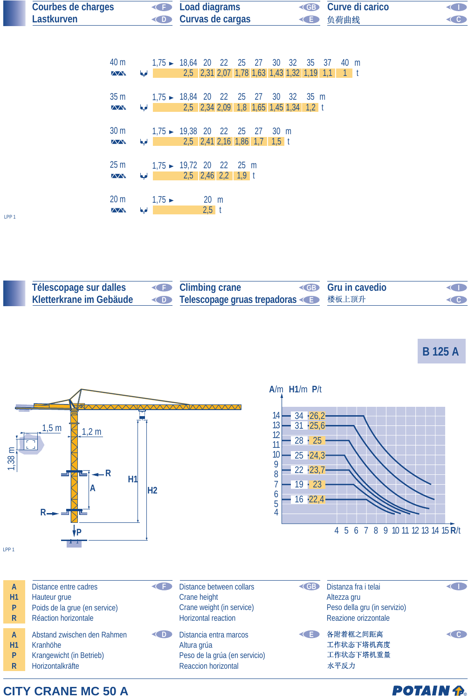| <b>Courbes de charges</b> | <b>Example 2</b> Load diagrams | <b>ED</b> Curve di carico | <b>CID</b>     |
|---------------------------|--------------------------------|---------------------------|----------------|
| Lastkurven                | <b>Curvas de cargas</b>        | ◆ 负荷曲线                    | $\in$ $\infty$ |

| 40 m                    | 1,75 ► 18,64 20 22 25 27 30 32 35 37 40 m                                |                |  |  |  |  |  |
|-------------------------|--------------------------------------------------------------------------|----------------|--|--|--|--|--|
| $\Delta\Delta$          | 1 1 1, 1 1, 1, 1, 2, 31 2, 07 1, 78 1, 63 1, 43 1, 32 1, 19 1, 1 1 1 1 1 |                |  |  |  |  |  |
|                         |                                                                          |                |  |  |  |  |  |
| 35 m                    | $1,75 \rightarrow 18,84$ 20 22 25 27 30 32 35 m                          |                |  |  |  |  |  |
| $\Delta \Delta \lambda$ | 2,5 2,34 2,09 1,8 1,65 1,45 1,34 1,2 t                                   |                |  |  |  |  |  |
|                         |                                                                          |                |  |  |  |  |  |
| 30 <sub>m</sub>         | $1.75 \rightarrow 19.38$ 20 22 25 27 30 m                                |                |  |  |  |  |  |
| $\sqrt{N}$              | 2,5 2,41 2,16 1,86 1,7 1,5 t                                             |                |  |  |  |  |  |
|                         |                                                                          |                |  |  |  |  |  |
| 25 m                    | $1,75 \rightarrow 19,72$ 20 22 25 m                                      |                |  |  |  |  |  |
| ZДN.                    | $\frac{1}{2}$ 2,5 2,46 2,2 1,9 t                                         |                |  |  |  |  |  |
|                         |                                                                          |                |  |  |  |  |  |
| 20 <sub>m</sub>         | 1,75                                                                     | $20 \text{ m}$ |  |  |  |  |  |
| $\Delta \Delta \lambda$ | $\frac{1}{2}$ 2.5 t                                                      |                |  |  |  |  |  |
|                         |                                                                          |                |  |  |  |  |  |

LPP 1

| Télescopage sur dalles | <b>Climbing crane</b>                                                                                            | <b>EB</b> Gru in cavedio | <b>KID</b> |
|------------------------|------------------------------------------------------------------------------------------------------------------|--------------------------|------------|
|                        | <b>Kletterkrane im Gebäude von Telescopage gruas trepadoras von Boot Australian Schedule Australian Executes</b> |                          | <b>COD</b> |

**B 125 A**



## **CITY CRANE MC 50 A**